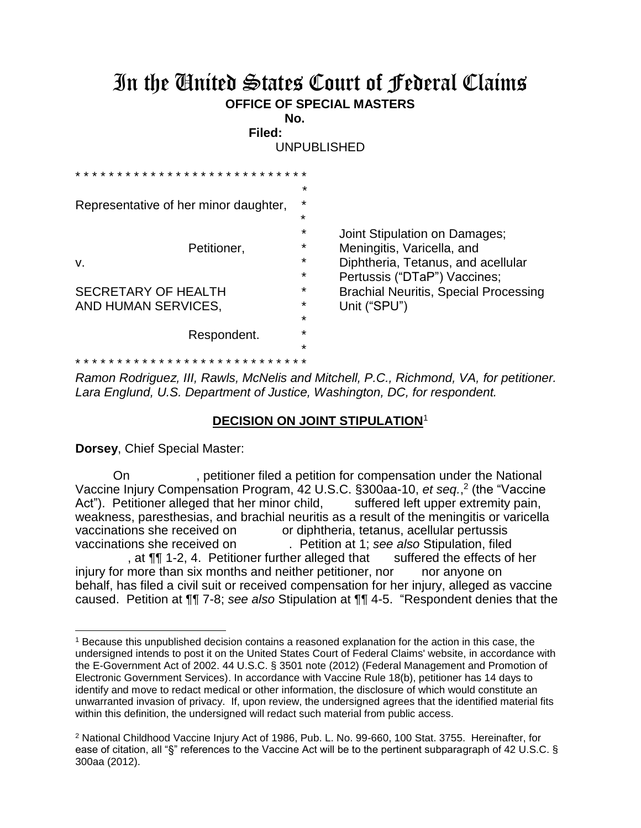## In the United States Court of Federal Claims **OFFICE OF SPECIAL MASTERS**

**No. Filed:** 

UNPUBLISHED

| * * * * * * * * * * * * * * * * * * * *<br>Representative of her minor daughter, | *<br>$\star$                                        |                                                                                                                                   |
|----------------------------------------------------------------------------------|-----------------------------------------------------|-----------------------------------------------------------------------------------------------------------------------------------|
| Petitioner,<br>v.                                                                | $\star$<br>$\star$<br>$\star$<br>$\star$<br>$\star$ | Joint Stipulation on Damages;<br>Meningitis, Varicella, and<br>Diphtheria, Tetanus, and acellular<br>Pertussis ("DTaP") Vaccines; |
| <b>SECRETARY OF HEALTH</b><br>AND HUMAN SERVICES,                                |                                                     | <b>Brachial Neuritis, Special Processing</b><br>Unit ("SPU")                                                                      |
| Respondent.                                                                      | $\star$<br>$\star$                                  |                                                                                                                                   |
|                                                                                  |                                                     |                                                                                                                                   |

*Ramon Rodriguez, III, Rawls, McNelis and Mitchell, P.C., Richmond, VA, for petitioner. Lara Englund, U.S. Department of Justice, Washington, DC, for respondent.* 

## **DECISION ON JOINT STIPULATION**<sup>1</sup>

**Dorsey**, Chief Special Master:

l

 On , petitioner filed a petition for compensation under the National Vaccine Injury Compensation Program, 42 U.S.C. §300aa-10, *et seq.*,<sup>2</sup> (the "Vaccine Act"). Petitioner alleged that her minor child, suffered left upper extremity pain, weakness, paresthesias, and brachial neuritis as a result of the meningitis or varicella vaccinations she received on or diphtheria, tetanus, acellular pertussis vaccinations she received on . Petition at 1; *see also* Stipulation, filed , at  $\P\P$  1-2, 4. Petitioner further alleged that suffered the effects of her injury for more than six months and neither petitioner, nor anyone on

behalf, has filed a civil suit or received compensation for her injury, alleged as vaccine caused. Petition at ¶¶ 7-8; *see also* Stipulation at ¶¶ 4-5. "Respondent denies that the

<sup>1</sup> Because this unpublished decision contains a reasoned explanation for the action in this case, the undersigned intends to post it on the United States Court of Federal Claims' website, in accordance with the E-Government Act of 2002. 44 U.S.C. § 3501 note (2012) (Federal Management and Promotion of Electronic Government Services). In accordance with Vaccine Rule 18(b), petitioner has 14 days to identify and move to redact medical or other information, the disclosure of which would constitute an unwarranted invasion of privacy. If, upon review, the undersigned agrees that the identified material fits within this definition, the undersigned will redact such material from public access.

<sup>2</sup> National Childhood Vaccine Injury Act of 1986, Pub. L. No. 99-660, 100 Stat. 3755. Hereinafter, for ease of citation, all "§" references to the Vaccine Act will be to the pertinent subparagraph of 42 U.S.C. § 300aa (2012).